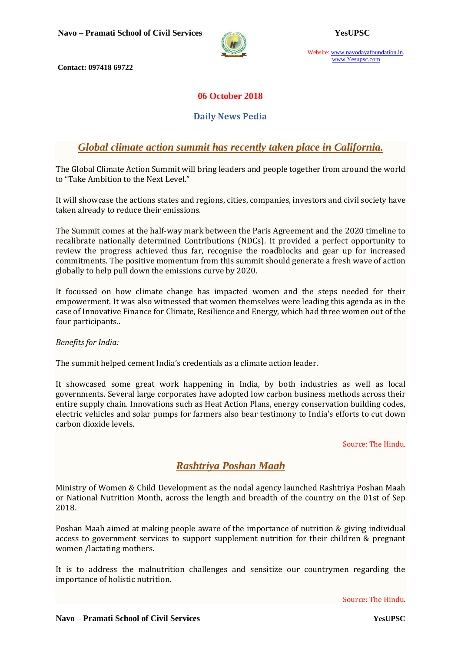

Website: www.navodayafoundation.in, www.Yesupsc.com

**Contact: 097418 69722**

#### **06 October 2018**

#### **Daily News Pedia**

## *Global climate action summit has recently taken place in California.*

The Global Climate Action Summit will bring leaders and people together from around the world to "Take Ambition to the Next Level."

It will showcase the actions states and regions, cities, companies, investors and civil society have taken already to reduce their emissions.

The Summit comes at the half-way mark between the Paris Agreement and the 2020 timeline to recalibrate nationally determined Contributions (NDCs). It provided a perfect opportunity to review the progress achieved thus far, recognise the roadblocks and gear up for increased commitments. The positive momentum from this summit should generate a fresh wave of action globally to help pull down the emissions curve by 2020.

It focussed on how climate change has impacted women and the steps needed for their empowerment. It was also witnessed that women themselves were leading this agenda as in the case of Innovative Finance for Climate, Resilience and Energy, which had three women out of the four participants..

*Benefits for India:*

The summit helped cement India's credentials as a climate action leader.

It showcased some great work happening in India, by both industries as well as local governments. Several large corporates have adopted low carbon business methods across their entire supply chain. Innovations such as Heat Action Plans, energy conservation building codes, electric vehicles and solar pumps for farmers also bear testimony to India's efforts to cut down carbon dioxide levels.

Source: The Hindu.

## *Rashtriya Poshan Maah*

Ministry of Women & Child Development as the nodal agency launched Rashtriya Poshan Maah or National Nutrition Month, across the length and breadth of the country on the 01st of Sep 2018.

Poshan Maah aimed at making people aware of the importance of nutrition & giving individual access to government services to support supplement nutrition for their children & pregnant women /lactating mothers.

It is to address the malnutrition challenges and sensitize our countrymen regarding the importance of holistic nutrition.

Source: The Hindu.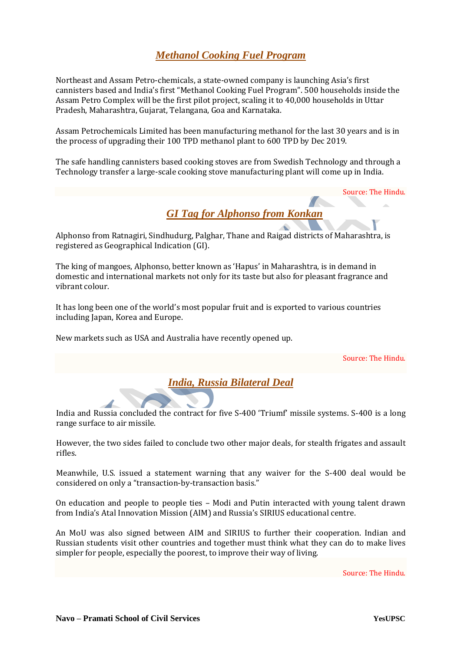# *Methanol Cooking Fuel Program*

Northeast and Assam Petro-chemicals, a state-owned company is launching Asia's first cannisters based and India's first "Methanol Cooking Fuel Program". 500 households inside the Assam Petro Complex will be the first pilot project, scaling it to 40,000 households in Uttar Pradesh, Maharashtra, Gujarat, Telangana, Goa and Karnataka.

Assam Petrochemicals Limited has been manufacturing methanol for the last 30 years and is in the process of upgrading their 100 TPD methanol plant to 600 TPD by Dec 2019.

The safe handling cannisters based cooking stoves are from Swedish Technology and through a Technology transfer a large-scale cooking stove manufacturing plant will come up in India.

Source: The Hindu.



Alphonso from Ratnagiri, Sindhudurg, Palghar, Thane and Raigad districts of Maharashtra, is registered as Geographical Indication (GI).

The king of mangoes, Alphonso, better known as 'Hapus' in Maharashtra, is in demand in domestic and international markets not only for its taste but also for pleasant fragrance and vibrant colour.

It has long been one of the world's most popular fruit and is exported to various countries including Japan, Korea and Europe.

New markets such as USA and Australia have recently opened up.

Source: The Hindu.

*India, Russia Bilateral Deal*

India and Russia concluded the contract for five S-400 'Triumf' missile systems. S-400 is a long range surface to air missile.

However, the two sides failed to conclude two other major deals, for stealth frigates and assault rifles.

Meanwhile, U.S. issued a statement warning that any waiver for the S-400 deal would be considered on only a "transaction-by-transaction basis."

On education and people to people ties – Modi and Putin interacted with young talent drawn from India's Atal Innovation Mission (AIM) and Russia's SIRIUS educational centre.

An MoU was also signed between AIM and SIRIUS to further their cooperation. Indian and Russian students visit other countries and together must think what they can do to make lives simpler for people, especially the poorest, to improve their way of living.

Source: The Hindu.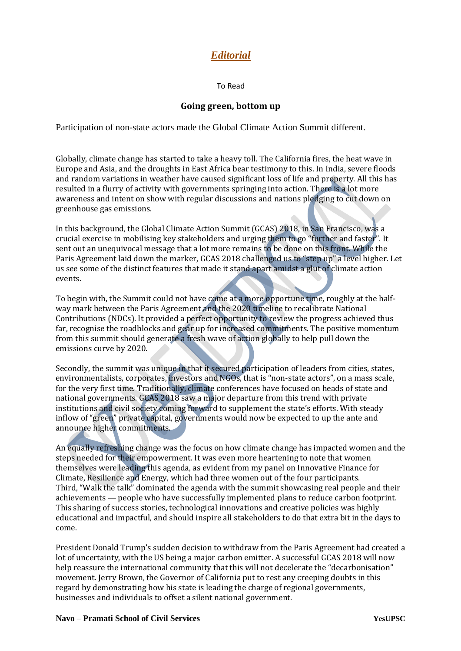# *Editorial*

To Read

#### **Going green, bottom up**

Participation of non-state actors made the Global Climate Action Summit different.

Globally, climate change has started to take a heavy toll. The California fires, the heat wave in Europe and Asia, and the droughts in East Africa bear testimony to this. In India, severe floods and random variations in weather have caused significant loss of life and property. All this has resulted in a flurry of activity with governments springing into action. There is a lot more awareness and intent on show with regular discussions and nations pledging to cut down on greenhouse gas emissions.

In this background, the Global Climate Action Summit (GCAS) 2018, in San Francisco, was a crucial exercise in mobilising key stakeholders and urging them to go "further and faster". It sent out an unequivocal message that a lot more remains to be done on this front. While the Paris Agreement laid down the marker, GCAS 2018 challenged us to "step up" a level higher. Let us see some of the distinct features that made it stand apart amidst a glut of climate action events.

To begin with, the Summit could not have come at a more opportune time, roughly at the halfway mark between the Paris Agreement and the 2020 timeline to recalibrate National Contributions (NDCs). It provided a perfect opportunity to review the progress achieved thus far, recognise the roadblocks and gear up for increased commitments. The positive momentum from this summit should generate a fresh wave of action globally to help pull down the emissions curve by 2020.

Secondly, the summit was unique in that it secured participation of leaders from cities, states, environmentalists, corporates, investors and NGOs, that is "non-state actors", on a mass scale, for the very first time. Traditionally, climate conferences have focused on heads of state and national governments. GCAS 2018 saw a major departure from this trend with private institutions and civil society coming forward to supplement the state's efforts. With steady inflow of "green" private capital, governments would now be expected to up the ante and announce higher commitments.

An equally refreshing change was the focus on how climate change has impacted women and the steps needed for their empowerment. It was even more heartening to note that women themselves were leading this agenda, as evident from my panel on Innovative Finance for Climate, Resilience and Energy, which had three women out of the four participants. Third, "Walk the talk" dominated the agenda with the summit showcasing real people and their achievements — people who have successfully implemented plans to reduce carbon footprint. This sharing of success stories, technological innovations and creative policies was highly educational and impactful, and should inspire all stakeholders to do that extra bit in the days to come.

President Donald Trump's sudden decision to withdraw from the Paris Agreement had created a lot of uncertainty, with the US being a major carbon emitter. A successful GCAS 2018 will now help reassure the international community that this will not decelerate the "decarbonisation" movement. Jerry Brown, the Governor of California put to rest any creeping doubts in this regard by demonstrating how his state is leading the charge of regional governments, businesses and individuals to offset a silent national government.